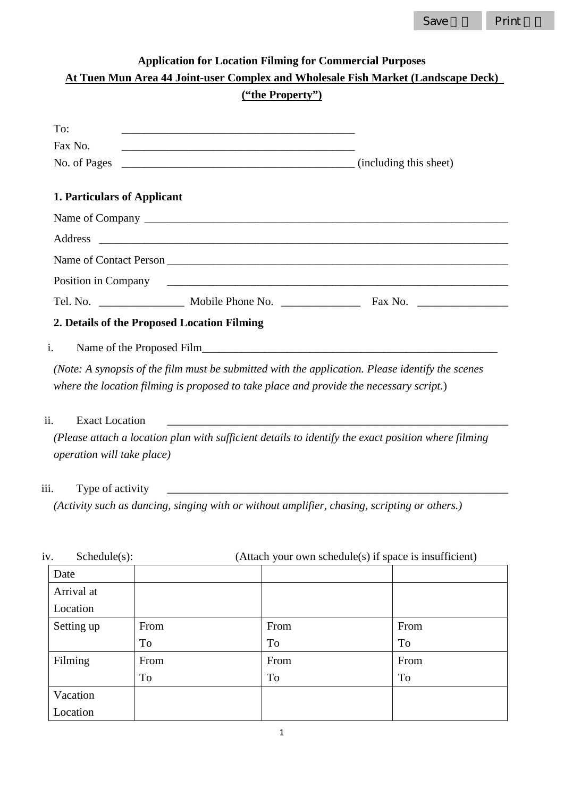| Save | بناء وبراد المحادة<br>.nt |
|------|---------------------------|
|      |                           |

| <b>Application for Location Filming for Commercial Purposes</b><br>At Tuen Mun Area 44 Joint-user Complex and Wholesale Fish Market (Landscape Deck) |                                                                                                                  |                                                                                                     |  |
|------------------------------------------------------------------------------------------------------------------------------------------------------|------------------------------------------------------------------------------------------------------------------|-----------------------------------------------------------------------------------------------------|--|
|                                                                                                                                                      |                                                                                                                  |                                                                                                     |  |
| To:                                                                                                                                                  |                                                                                                                  |                                                                                                     |  |
| Fax No.                                                                                                                                              |                                                                                                                  |                                                                                                     |  |
| No. of Pages                                                                                                                                         | (including this sheet)                                                                                           |                                                                                                     |  |
| 1. Particulars of Applicant                                                                                                                          |                                                                                                                  |                                                                                                     |  |
|                                                                                                                                                      |                                                                                                                  |                                                                                                     |  |
| Address                                                                                                                                              |                                                                                                                  |                                                                                                     |  |
|                                                                                                                                                      |                                                                                                                  |                                                                                                     |  |
|                                                                                                                                                      |                                                                                                                  | Position in Company Theorem 2014                                                                    |  |
|                                                                                                                                                      |                                                                                                                  |                                                                                                     |  |
| 2. Details of the Proposed Location Filming                                                                                                          |                                                                                                                  |                                                                                                     |  |
| i.                                                                                                                                                   |                                                                                                                  |                                                                                                     |  |
|                                                                                                                                                      | where the location filming is proposed to take place and provide the necessary script.)                          | (Note: A synopsis of the film must be submitted with the application. Please identify the scenes    |  |
| ii.<br><b>Exact Location</b>                                                                                                                         | and the control of the control of the control of the control of the control of the control of the control of the |                                                                                                     |  |
| operation will take place)                                                                                                                           |                                                                                                                  | (Please attach a location plan with sufficient details to identify the exact position where filming |  |
| iii.<br>Type of activity                                                                                                                             | <u> 2002 - Jan James James Barnett, fransk politik (d. 1882)</u>                                                 |                                                                                                     |  |
|                                                                                                                                                      |                                                                                                                  | (Activity such as dancing, singing with or without amplifier, chasing, scripting or others.)        |  |

| iv.<br>Schedule(s): | (Attach your own schedule(s) if space is insufficient) |      |      |
|---------------------|--------------------------------------------------------|------|------|
| Date                |                                                        |      |      |
| Arrival at          |                                                        |      |      |
| Location            |                                                        |      |      |
| Setting up          | From                                                   | From | From |
|                     | To                                                     | To   | To   |
| Filming             | From                                                   | From | From |
|                     | <b>To</b>                                              | To   | To   |
| Vacation            |                                                        |      |      |
| Location            |                                                        |      |      |

1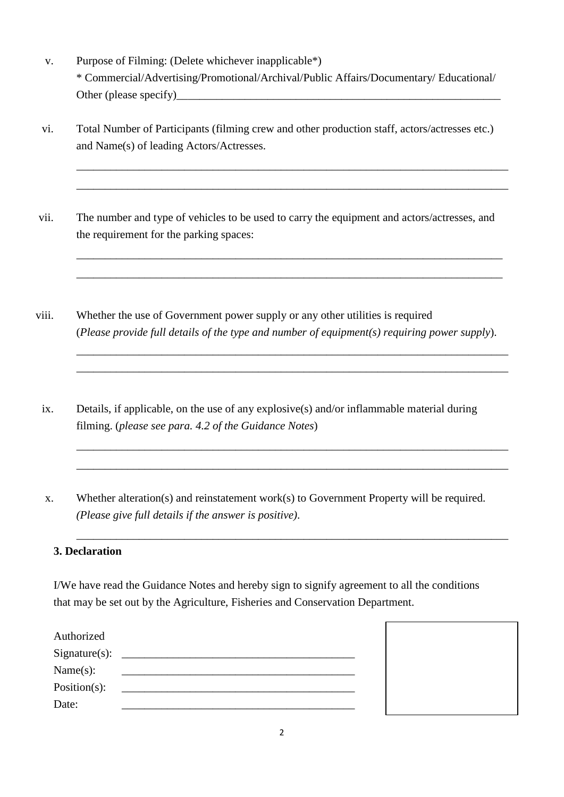- v. Purpose of Filming: (Delete whichever inapplicable\*) \* Commercial/Advertising/Promotional/Archival/Public Affairs/Documentary/ Educational/ Other (please specify)\_\_\_\_\_\_\_\_\_\_\_\_\_\_\_\_\_\_\_\_\_\_\_\_\_\_\_\_\_\_\_\_\_\_\_\_\_\_\_\_\_\_\_\_\_\_\_\_\_\_\_\_\_\_\_\_\_
- vi. Total Number of Participants (filming crew and other production staff, actors/actresses etc.) and Name(s) of leading Actors/Actresses.

\_\_\_\_\_\_\_\_\_\_\_\_\_\_\_\_\_\_\_\_\_\_\_\_\_\_\_\_\_\_\_\_\_\_\_\_\_\_\_\_\_\_\_\_\_\_\_\_\_\_\_\_\_\_\_\_\_\_\_\_\_\_\_\_\_\_\_\_\_\_\_\_\_\_\_\_

\_\_\_\_\_\_\_\_\_\_\_\_\_\_\_\_\_\_\_\_\_\_\_\_\_\_\_\_\_\_\_\_\_\_\_\_\_\_\_\_\_\_\_\_\_\_\_\_\_\_\_\_\_\_\_\_\_\_\_\_\_\_\_\_\_\_\_\_\_\_\_\_\_\_\_\_

\_\_\_\_\_\_\_\_\_\_\_\_\_\_\_\_\_\_\_\_\_\_\_\_\_\_\_\_\_\_\_\_\_\_\_\_\_\_\_\_\_\_\_\_\_\_\_\_\_\_\_\_\_\_\_\_\_\_\_\_\_\_\_\_\_\_\_\_\_\_\_\_\_\_\_ *\_\_\_\_\_\_\_\_\_\_\_\_\_\_\_\_\_\_\_\_\_\_\_\_\_\_\_\_\_\_\_\_\_\_\_\_\_\_\_\_\_\_\_\_\_\_\_\_\_\_\_\_\_\_\_\_\_\_\_\_\_\_\_\_\_\_\_\_\_\_\_\_\_\_\_*

\_\_\_\_\_\_\_\_\_\_\_\_\_\_\_\_\_\_\_\_\_\_\_\_\_\_\_\_\_\_\_\_\_\_\_\_\_\_\_\_\_\_\_\_\_\_\_\_\_\_\_\_\_\_\_\_\_\_\_\_\_\_\_\_\_\_\_\_\_\_\_\_\_\_\_\_ \_\_\_\_\_\_\_\_\_\_\_\_\_\_\_\_\_\_\_\_\_\_\_\_\_\_\_\_\_\_\_\_\_\_\_\_\_\_\_\_\_\_\_\_\_\_\_\_\_\_\_\_\_\_\_\_\_\_\_\_\_\_\_\_\_\_\_\_\_\_\_\_\_\_\_\_

\_\_\_\_\_\_\_\_\_\_\_\_\_\_\_\_\_\_\_\_\_\_\_\_\_\_\_\_\_\_\_\_\_\_\_\_\_\_\_\_\_\_\_\_\_\_\_\_\_\_\_\_\_\_\_\_\_\_\_\_\_\_\_\_\_\_\_\_\_\_\_\_\_\_\_\_

\_\_\_\_\_\_\_\_\_\_\_\_\_\_\_\_\_\_\_\_\_\_\_\_\_\_\_\_\_\_\_\_\_\_\_\_\_\_\_\_\_\_\_\_\_\_\_\_\_\_\_\_\_\_\_\_\_\_\_\_\_\_\_\_\_\_\_\_\_\_\_\_\_\_\_\_

\_\_\_\_\_\_\_\_\_\_\_\_\_\_\_\_\_\_\_\_\_\_\_\_\_\_\_\_\_\_\_\_\_\_\_\_\_\_\_\_\_\_\_\_\_\_\_\_\_\_\_\_\_\_\_\_\_\_\_\_\_\_\_\_\_\_\_\_\_\_\_\_\_\_\_\_

- vii. The number and type of vehicles to be used to carry the equipment and actors/actresses, and the requirement for the parking spaces:
- viii. Whether the use of Government power supply or any other utilities is required (*Please provide full details of the type and number of equipment(s) requiring power supply*).
	- ix. Details, if applicable, on the use of any explosive(s) and/or inflammable material during filming. (*please see para. 4.2 of the Guidance Notes*)
	- x. Whether alteration(s) and reinstatement work(s) to Government Property will be required. *(Please give full details if the answer is positive)*.

#### **3. Declaration**

I/We have read the Guidance Notes and hereby sign to signify agreement to all the conditions that may be set out by the Agriculture, Fisheries and Conservation Department.

| Authorized   |  |
|--------------|--|
| $Sigma(s)$ : |  |
| Name(s):     |  |
| Position(s): |  |
| Date:        |  |

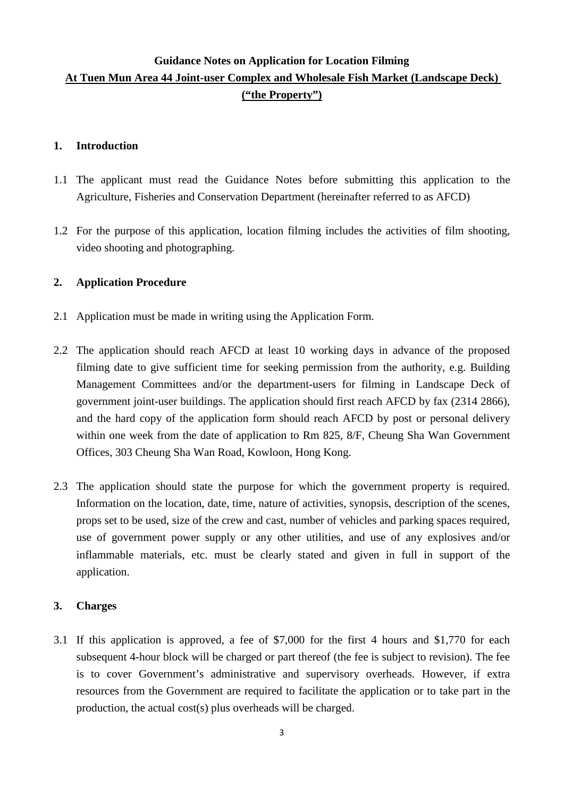# **Guidance Notes on Application for Location Filming At Tuen Mun Area 44 Joint-user Complex and Wholesale Fish Market (Landscape Deck) ("the Property")**

#### **1. Introduction**

- 1.1 The applicant must read the Guidance Notes before submitting this application to the Agriculture, Fisheries and Conservation Department (hereinafter referred to as AFCD)
- 1.2 For the purpose of this application, location filming includes the activities of film shooting, video shooting and photographing.

## **2. Application Procedure**

- 2.1 Application must be made in writing using the Application Form.
- 2.2 The application should reach AFCD at least 10 working days in advance of the proposed filming date to give sufficient time for seeking permission from the authority, e.g. Building Management Committees and/or the department-users for filming in Landscape Deck of government joint-user buildings. The application should first reach AFCD by fax (2314 2866), and the hard copy of the application form should reach AFCD by post or personal delivery within one week from the date of application to Rm 825, 8/F, Cheung Sha Wan Government Offices, 303 Cheung Sha Wan Road, Kowloon, Hong Kong.
- 2.3 The application should state the purpose for which the government property is required. Information on the location, date, time, nature of activities, synopsis, description of the scenes, props set to be used, size of the crew and cast, number of vehicles and parking spaces required, use of government power supply or any other utilities, and use of any explosives and/or inflammable materials, etc. must be clearly stated and given in full in support of the application.

## **3. Charges**

3.1 If this application is approved, a fee of \$7,000 for the first 4 hours and \$1,770 for each subsequent 4-hour block will be charged or part thereof (the fee is subject to revision). The fee is to cover Government's administrative and supervisory overheads. However, if extra resources from the Government are required to facilitate the application or to take part in the production, the actual cost(s) plus overheads will be charged.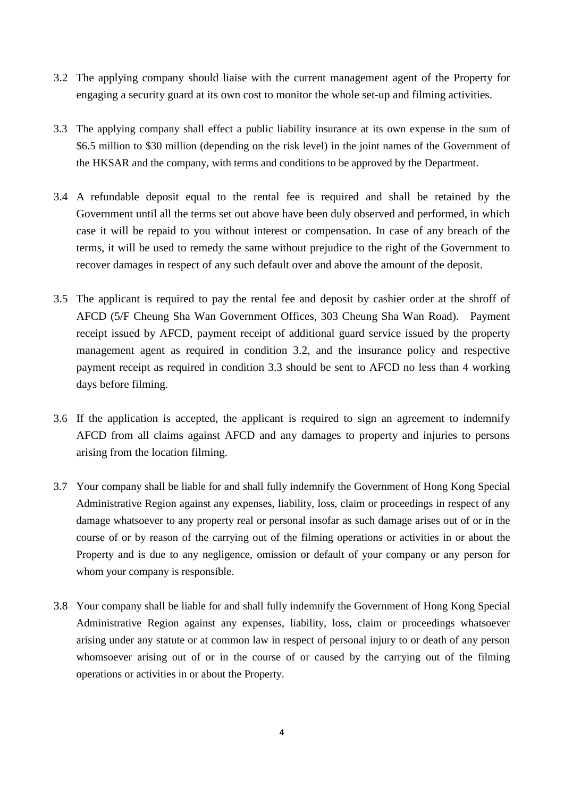- 3.2 The applying company should liaise with the current management agent of the Property for engaging a security guard at its own cost to monitor the whole set-up and filming activities.
- 3.3 The applying company shall effect a public liability insurance at its own expense in the sum of \$6.5 million to \$30 million (depending on the risk level) in the joint names of the Government of the HKSAR and the company, with terms and conditions to be approved by the Department.
- 3.4 A refundable deposit equal to the rental fee is required and shall be retained by the Government until all the terms set out above have been duly observed and performed, in which case it will be repaid to you without interest or compensation. In case of any breach of the terms, it will be used to remedy the same without prejudice to the right of the Government to recover damages in respect of any such default over and above the amount of the deposit.
- 3.5 The applicant is required to pay the rental fee and deposit by cashier order at the shroff of AFCD (5/F Cheung Sha Wan Government Offices, 303 Cheung Sha Wan Road). Payment receipt issued by AFCD, payment receipt of additional guard service issued by the property management agent as required in condition 3.2, and the insurance policy and respective payment receipt as required in condition 3.3 should be sent to AFCD no less than 4 working days before filming.
- 3.6 If the application is accepted, the applicant is required to sign an agreement to indemnify AFCD from all claims against AFCD and any damages to property and injuries to persons arising from the location filming.
- 3.7 Your company shall be liable for and shall fully indemnify the Government of Hong Kong Special Administrative Region against any expenses, liability, loss, claim or proceedings in respect of any damage whatsoever to any property real or personal insofar as such damage arises out of or in the course of or by reason of the carrying out of the filming operations or activities in or about the Property and is due to any negligence, omission or default of your company or any person for whom your company is responsible.
- 3.8 Your company shall be liable for and shall fully indemnify the Government of Hong Kong Special Administrative Region against any expenses, liability, loss, claim or proceedings whatsoever arising under any statute or at common law in respect of personal injury to or death of any person whomsoever arising out of or in the course of or caused by the carrying out of the filming operations or activities in or about the Property.